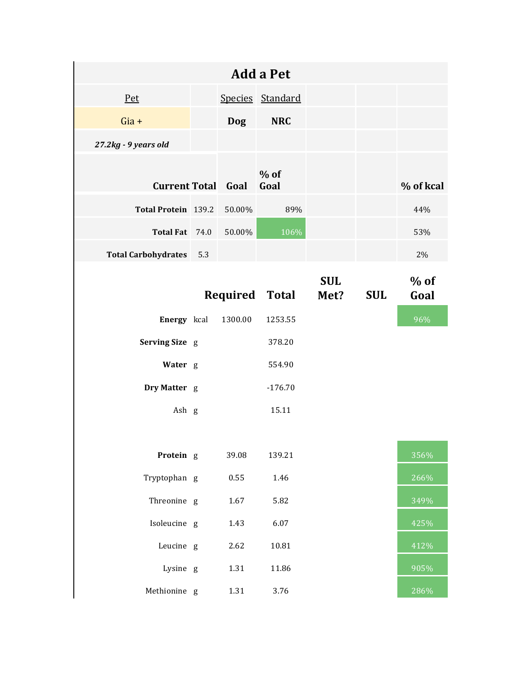|                            |     |            | <b>Add a Pet</b>      |                    |            |                |
|----------------------------|-----|------------|-----------------------|--------------------|------------|----------------|
| Pet                        |     |            | Species Standard      |                    |            |                |
| $Gia +$                    |     | <b>Dog</b> | <b>NRC</b>            |                    |            |                |
| 27.2kg - 9 years old       |     |            |                       |                    |            |                |
| <b>Current Total Goal</b>  |     |            | $%$ of<br>Goal        |                    |            | % of kcal      |
| Total Protein 139.2        |     | 50.00%     | 89%                   |                    |            | 44%            |
| Total Fat 74.0             |     | 50.00%     | 106%                  |                    |            | 53%            |
| <b>Total Carbohydrates</b> | 5.3 |            |                       |                    |            | 2%             |
|                            |     |            | <b>Required Total</b> | <b>SUL</b><br>Met? | <b>SUL</b> | $%$ of<br>Goal |
| Energy kcal                |     | 1300.00    | 1253.55               |                    |            | 96%            |
| Serving Size g             |     |            | 378.20                |                    |            |                |
| Water g                    |     |            | 554.90                |                    |            |                |
| Dry Matter g               |     |            | $-176.70$             |                    |            |                |
| Ash g                      |     |            | 15.11                 |                    |            |                |
|                            |     |            |                       |                    |            |                |
| Protein g                  |     | 39.08      | 139.21                |                    |            | 356%           |
| Tryptophan g               |     | 0.55       | 1.46                  |                    |            | 266%           |
| Threonine g                |     | 1.67       | 5.82                  |                    |            | 349%           |
| Isoleucine g               |     | 1.43       | 6.07                  |                    |            | 425%           |
| Leucine g                  |     | 2.62       | 10.81                 |                    |            | 412%           |
| Lysine g                   |     | 1.31       | 11.86                 |                    |            | 905%           |
| Methionine g               |     | 1.31       | 3.76                  |                    |            | 286%           |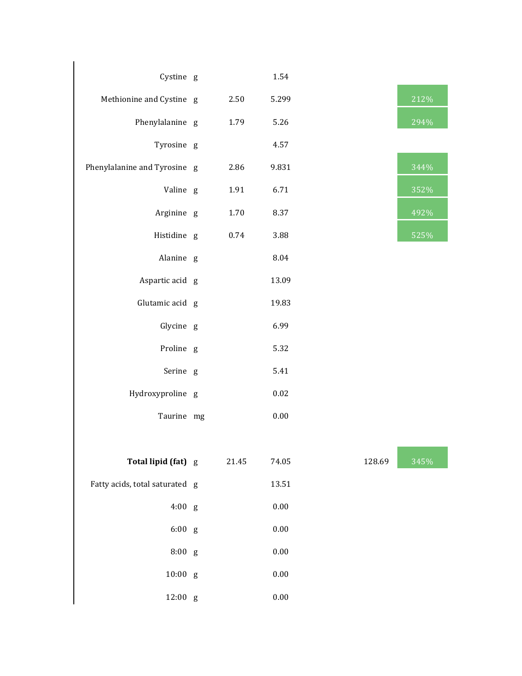| Cystine g                      |       | 1.54     |        |                          |
|--------------------------------|-------|----------|--------|--------------------------|
| Methionine and Cystine g       | 2.50  | 5.299    |        | 212%                     |
| Phenylalanine g                | 1.79  | 5.26     |        | 294%                     |
| Tyrosine g                     |       | 4.57     |        |                          |
| Phenylalanine and Tyrosine g   | 2.86  | 9.831    |        | 344%                     |
| Valine g                       | 1.91  | 6.71     |        | 352%                     |
| Arginine g                     | 1.70  | 8.37     |        | 492%                     |
| Histidine g                    | 0.74  | 3.88     |        | 525%                     |
| Alanine g                      |       | 8.04     |        |                          |
| Aspartic acid g                |       | 13.09    |        |                          |
| Glutamic acid g                |       | 19.83    |        |                          |
| Glycine g                      |       | 6.99     |        |                          |
| Proline g                      |       | 5.32     |        |                          |
| Serine g                       |       | 5.41     |        |                          |
| Hydroxyproline g               |       | $0.02\,$ |        |                          |
| Taurine mg                     |       | $0.00\,$ |        |                          |
|                                |       |          |        | <b>Contract Contract</b> |
| Total lipid (fat) g            | 21.45 | 74.05    | 128.69 | 345%                     |
| Fatty acids, total saturated g |       | 13.51    |        |                          |
| 4:00 g                         |       | $0.00\,$ |        |                          |
| 6:00 g                         |       | $0.00\,$ |        |                          |
| 8:00 g                         |       | 0.00     |        |                          |
| $10:00$ g                      |       | $0.00\,$ |        |                          |
| 12:00 g                        |       | $0.00\,$ |        |                          |

| 4 I 470     |
|-------------|
| 294%        |
|             |
| 344%        |
| 352%        |
| 492%        |
| <b>FOFO</b> |

| 345% |
|------|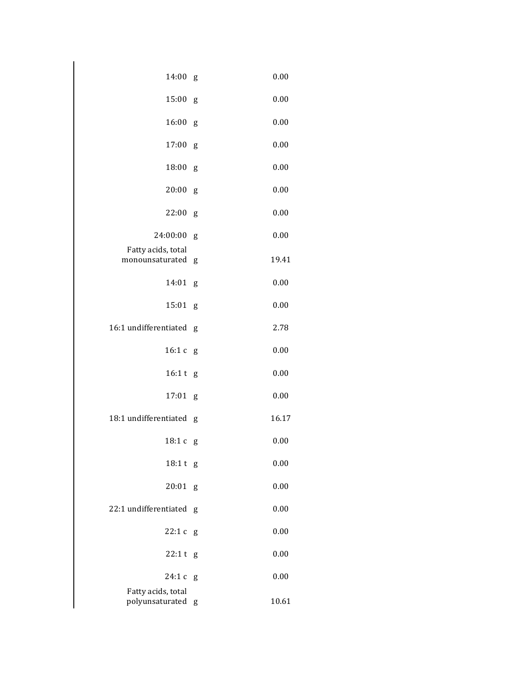| 14:00                                 | g | 0.00  |
|---------------------------------------|---|-------|
| 15:00                                 | g | 0.00  |
| 16:00                                 | g | 0.00  |
| 17:00                                 | g | 0.00  |
| 18:00                                 | g | 0.00  |
| 20:00                                 | g | 0.00  |
| 22:00                                 | g | 0.00  |
| 24:00:00                              | g | 0.00  |
| Fatty acids, total<br>monounsaturated | g | 19.41 |
| 14:01                                 | g | 0.00  |
| 15:01                                 | g | 0.00  |
| 16:1 undifferentiated                 | g | 2.78  |
| 16:1c                                 | g | 0.00  |
| 16:1 t                                | g | 0.00  |
| 17:01                                 | g | 0.00  |
| 18:1 undifferentiated                 | g | 16.17 |
| 18:1c                                 | g | 0.00  |
| 18:1t                                 | g | 0.00  |
| 20:01                                 | g | 0.00  |
| 22:1 undifferentiated                 | g | 0.00  |
| 22:1c                                 | g | 0.00  |
| 22:1t                                 | g | 0.00  |
| 24:1 c                                | g | 0.00  |
| Fatty acids, total<br>polyunsaturated | g | 10.61 |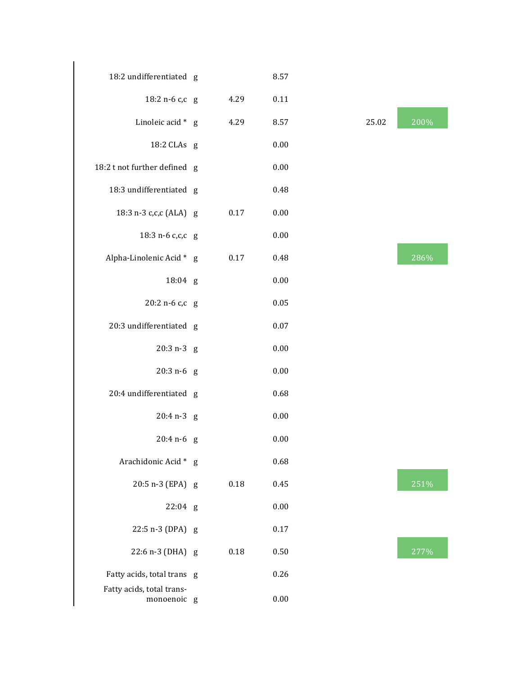| 18:2 undifferentiated g                  |          | 8.57     |       |      |
|------------------------------------------|----------|----------|-------|------|
| 18:2 n-6 c,c g                           | 4.29     | 0.11     |       |      |
| Linoleic acid * g                        | 4.29     | 8.57     | 25.02 | 200% |
| 18:2 CLAs g                              |          | 0.00     |       |      |
| 18:2 t not further defined g             |          | 0.00     |       |      |
| 18:3 undifferentiated g                  |          | 0.48     |       |      |
| 18:3 n-3 c,c,c (ALA) g                   | 0.17     | 0.00     |       |      |
| 18:3 n-6 c,c,c g                         |          | 0.00     |       |      |
| Alpha-Linolenic Acid * g                 | 0.17     | 0.48     |       | 286% |
| 18:04 g                                  |          | 0.00     |       |      |
| 20:2 n-6 c,c g                           |          | 0.05     |       |      |
| 20:3 undifferentiated g                  |          | 0.07     |       |      |
| $20:3 n-3 g$                             |          | 0.00     |       |      |
| $20:3 n-6 g$                             |          | 0.00     |       |      |
| 20:4 undifferentiated g                  |          | 0.68     |       |      |
| $20:4 n-3 g$                             |          | 0.00     |       |      |
| $20:4 n-6 g$                             |          | 0.00     |       |      |
| Arachidonic Acid * g                     |          | 0.68     |       |      |
| 20:5 n-3 (EPA) g                         | $0.18\,$ | 0.45     |       | 251% |
| $22:04$ g                                |          | $0.00\,$ |       |      |
| 22:5 n-3 (DPA) g                         |          | 0.17     |       |      |
| 22:6 n-3 (DHA) g                         | $0.18\,$ | 0.50     |       | 277% |
| Fatty acids, total trans g               |          | 0.26     |       |      |
| Fatty acids, total trans-<br>monoenoic g |          | $0.00\,$ |       |      |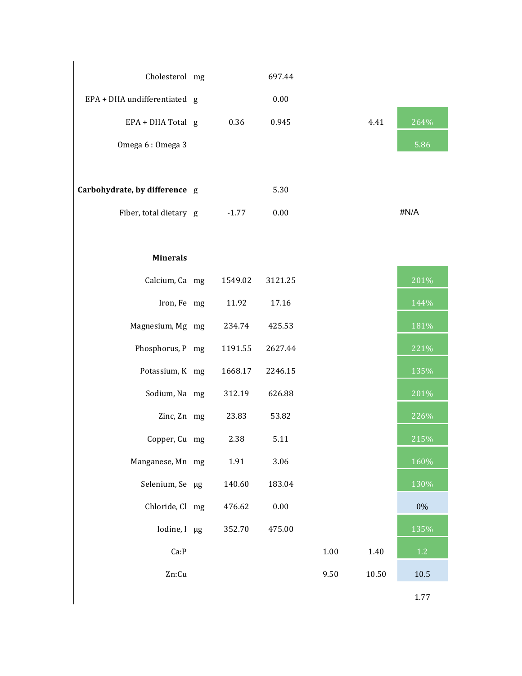| Cholesterol mg                |         | 697.44   |          |       |      |
|-------------------------------|---------|----------|----------|-------|------|
| EPA + DHA undifferentiated g  |         | 0.00     |          |       |      |
| EPA + DHA Total g             | 0.36    | 0.945    |          | 4.41  | 264% |
| Omega 6: Omega 3              |         |          |          |       | 5.86 |
|                               |         |          |          |       |      |
| Carbohydrate, by difference g |         | 5.30     |          |       |      |
| Fiber, total dietary g        | $-1.77$ | 0.00     |          |       | #N/A |
|                               |         |          |          |       |      |
| <b>Minerals</b>               |         |          |          |       |      |
| Calcium, Ca mg                | 1549.02 | 3121.25  |          |       | 201% |
| Iron, Fe mg                   | 11.92   | 17.16    |          |       | 144% |
| Magnesium, Mg mg              | 234.74  | 425.53   |          |       | 181% |
| Phosphorus, P mg              | 1191.55 | 2627.44  |          |       | 221% |
| Potassium, K mg               | 1668.17 | 2246.15  |          |       | 135% |
| Sodium, Na mg                 | 312.19  | 626.88   |          |       | 201% |
| Zinc, Zn mg                   | 23.83   | 53.82    |          |       | 226% |
| Copper, Cu mg                 | 2.38    | 5.11     |          |       | 215% |
| Manganese, Mn mg              | 1.91    | 3.06     |          |       | 160% |
| Selenium, Se µg               | 140.60  | 183.04   |          |       | 130% |
| Chloride, Cl mg               | 476.62  | $0.00\,$ |          |       | 0%   |
| Iodine, I µg                  | 352.70  | 475.00   |          |       | 135% |
| Ca:P                          |         |          | $1.00\,$ | 1.40  | 1.2  |
| Zn:Cu                         |         |          | 9.50     | 10.50 | 10.5 |
|                               |         |          |          |       | 1.77 |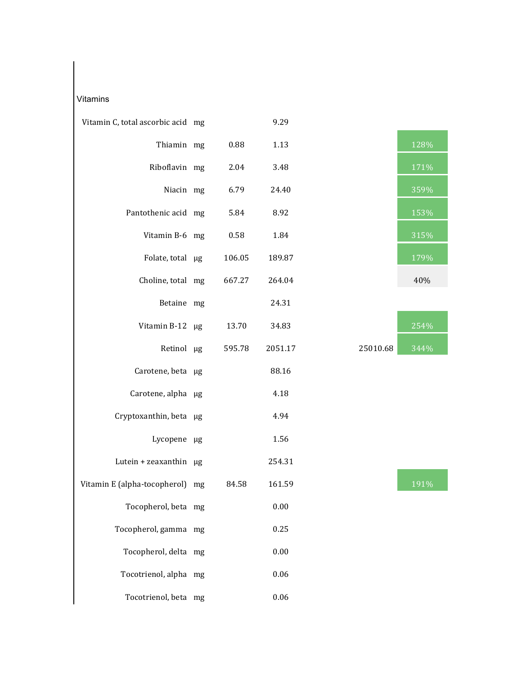## Vitamins

| Vitamin C, total ascorbic acid mg |        | 9.29    |          |      |
|-----------------------------------|--------|---------|----------|------|
| Thiamin mg                        | 0.88   | 1.13    |          | 128% |
| Riboflavin mg                     | 2.04   | 3.48    |          | 171% |
| Niacin mg                         | 6.79   | 24.40   |          | 359% |
| Pantothenic acid mg               | 5.84   | 8.92    |          | 153% |
| Vitamin B-6 mg                    | 0.58   | 1.84    |          | 315% |
| Folate, total µg                  | 106.05 | 189.87  |          | 179% |
| Choline, total mg                 | 667.27 | 264.04  |          | 40%  |
| Betaine mg                        |        | 24.31   |          |      |
| Vitamin B-12 µg                   | 13.70  | 34.83   |          | 254% |
| Retinol µg                        | 595.78 | 2051.17 | 25010.68 | 344% |
| Carotene, beta µg                 |        | 88.16   |          |      |
| Carotene, alpha µg                |        | 4.18    |          |      |
| Cryptoxanthin, beta µg            |        | 4.94    |          |      |
| Lycopene µg                       |        | 1.56    |          |      |
| Lutein + zeaxanthin µg            |        | 254.31  |          |      |
| Vitamin E (alpha-tocopherol) mg   | 84.58  | 161.59  |          | 191% |
| Tocopherol, beta mg               |        | 0.00    |          |      |
| Tocopherol, gamma mg              |        | 0.25    |          |      |
| Tocopherol, delta mg              |        | 0.00    |          |      |
| Tocotrienol, alpha mg             |        | 0.06    |          |      |
| Tocotrienol, beta mg              |        | 0.06    |          |      |



|         | 254% |
|---------|------|
| 5010.68 | 344% |